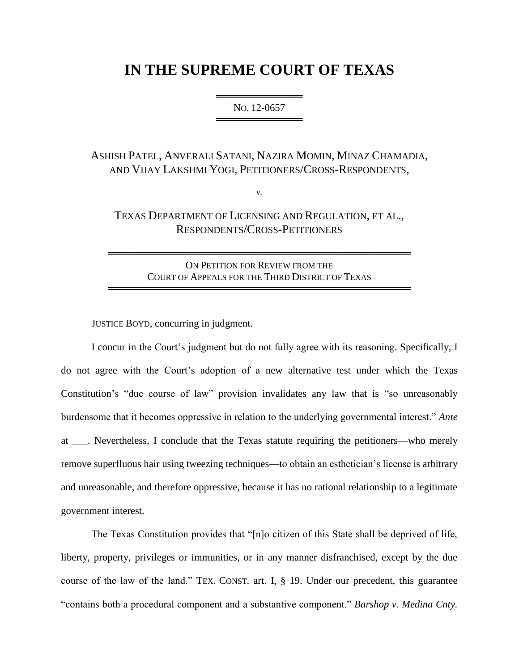## **IN THE SUPREME COURT OF TEXAS**

═══════════════════════ NO. 12-0657 ══════════════════════════

ASHISH PATEL, ANVERALI SATANI, NAZIRA MOMIN, MINAZ CHAMADIA, AND VIJAY LAKSHMI YOGI, PETITIONERS/CROSS-RESPONDENTS,

v.

TEXAS DEPARTMENT OF LICENSING AND REGULATION, ET AL., RESPONDENTS/CROSS-PETITIONERS

ON PETITION FOR REVIEW FROM THE COURT OF APPEALS FOR THE THIRD DISTRICT OF TEXAS ══════════════════════════════════════════

══════════════════════════════════════════

JUSTICE BOYD, concurring in judgment.

I concur in the Court's judgment but do not fully agree with its reasoning. Specifically, I do not agree with the Court's adoption of a new alternative test under which the Texas Constitution's "due course of law" provision invalidates any law that is "so unreasonably burdensome that it becomes oppressive in relation to the underlying governmental interest." *Ante* at \_\_\_. Nevertheless, I conclude that the Texas statute requiring the petitioners—who merely remove superfluous hair using tweezing techniques—to obtain an esthetician's license is arbitrary and unreasonable, and therefore oppressive, because it has no rational relationship to a legitimate government interest.

The Texas Constitution provides that "[n]o citizen of this State shall be deprived of life, liberty, property, privileges or immunities, or in any manner disfranchised, except by the due course of the law of the land." TEX. CONST. art. I, § 19. Under our precedent, this guarantee "contains both a procedural component and a substantive component." *Barshop v. Medina Cnty.*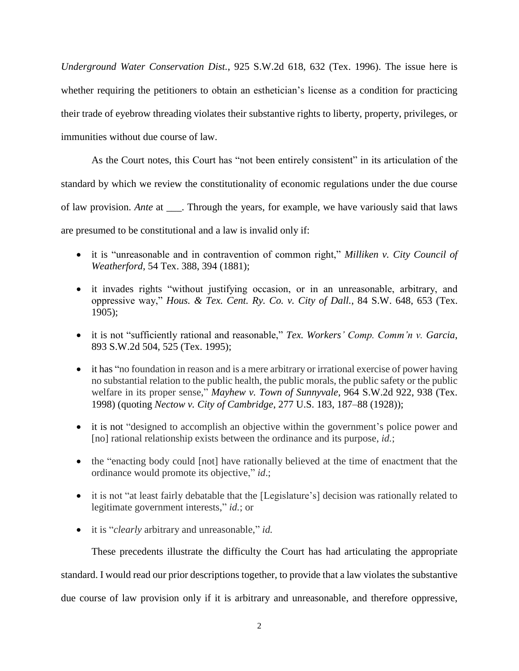*Underground Water Conservation Dist.*, 925 S.W.2d 618, 632 (Tex. 1996). The issue here is whether requiring the petitioners to obtain an esthetician's license as a condition for practicing their trade of eyebrow threading violates their substantive rights to liberty, property, privileges, or immunities without due course of law.

As the Court notes, this Court has "not been entirely consistent" in its articulation of the standard by which we review the constitutionality of economic regulations under the due course of law provision. *Ante* at \_\_\_. Through the years, for example, we have variously said that laws are presumed to be constitutional and a law is invalid only if:

- it is "unreasonable and in contravention of common right," *Milliken v. City Council of Weatherford*, 54 Tex. 388, 394 (1881);
- it invades rights "without justifying occasion, or in an unreasonable, arbitrary, and oppressive way," *Hous. & Tex. Cent. Ry. Co. v. City of Dall.*, 84 S.W. 648, 653 (Tex. 1905);
- it is not "sufficiently rational and reasonable," *Tex. Workers' Comp. Comm'n v. Garcia*, 893 S.W.2d 504, 525 (Tex. 1995);
- it has "no foundation in reason and is a mere arbitrary or irrational exercise of power having no substantial relation to the public health, the public morals, the public safety or the public welfare in its proper sense," *Mayhew v. Town of Sunnyvale*, 964 S.W.2d 922, 938 (Tex. 1998) (quoting *Nectow v. City of Cambridge*, 277 U.S. 183, 187–88 (1928));
- it is not "designed to accomplish an objective within the government's police power and [no] rational relationship exists between the ordinance and its purpose, *id.*;
- the "enacting body could [not] have rationally believed at the time of enactment that the ordinance would promote its objective," *id*.;
- it is not "at least fairly debatable that the [Legislature's] decision was rationally related to legitimate government interests," *id.*; or
- it is "*clearly* arbitrary and unreasonable," *id.*

These precedents illustrate the difficulty the Court has had articulating the appropriate

standard. I would read our prior descriptions together, to provide that a law violates the substantive

due course of law provision only if it is arbitrary and unreasonable, and therefore oppressive,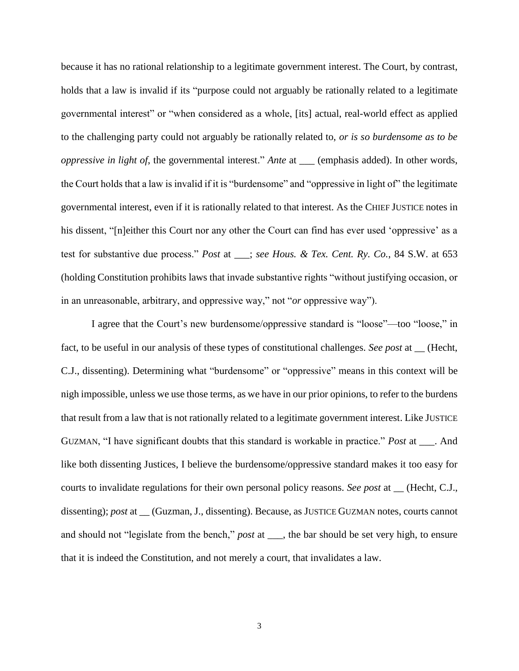because it has no rational relationship to a legitimate government interest. The Court, by contrast, holds that a law is invalid if its "purpose could not arguably be rationally related to a legitimate governmental interest" or "when considered as a whole, [its] actual, real-world effect as applied to the challenging party could not arguably be rationally related to, *or is so burdensome as to be oppressive in light of*, the governmental interest." *Ante* at \_\_\_ (emphasis added). In other words, the Court holds that a law is invalid if it is "burdensome" and "oppressive in light of" the legitimate governmental interest, even if it is rationally related to that interest. As the CHIEF JUSTICE notes in his dissent, "[n]either this Court nor any other the Court can find has ever used 'oppressive' as a test for substantive due process." *Post* at \_\_\_; *see Hous. & Tex. Cent. Ry. Co.*, 84 S.W. at 653 (holding Constitution prohibits laws that invade substantive rights "without justifying occasion, or in an unreasonable, arbitrary, and oppressive way," not "*or* oppressive way").

I agree that the Court's new burdensome/oppressive standard is "loose"—too "loose," in fact, to be useful in our analysis of these types of constitutional challenges. *See post* at \_\_ (Hecht, C.J., dissenting). Determining what "burdensome" or "oppressive" means in this context will be nigh impossible, unless we use those terms, as we have in our prior opinions, to refer to the burdens that result from a law that is not rationally related to a legitimate government interest. Like JUSTICE GUZMAN, "I have significant doubts that this standard is workable in practice." *Post* at \_\_\_. And like both dissenting Justices, I believe the burdensome/oppressive standard makes it too easy for courts to invalidate regulations for their own personal policy reasons. *See post* at \_\_ (Hecht, C.J., dissenting); *post* at \_\_ (Guzman, J., dissenting). Because, as JUSTICE GUZMAN notes, courts cannot and should not "legislate from the bench," *post* at \_\_\_, the bar should be set very high, to ensure that it is indeed the Constitution, and not merely a court, that invalidates a law.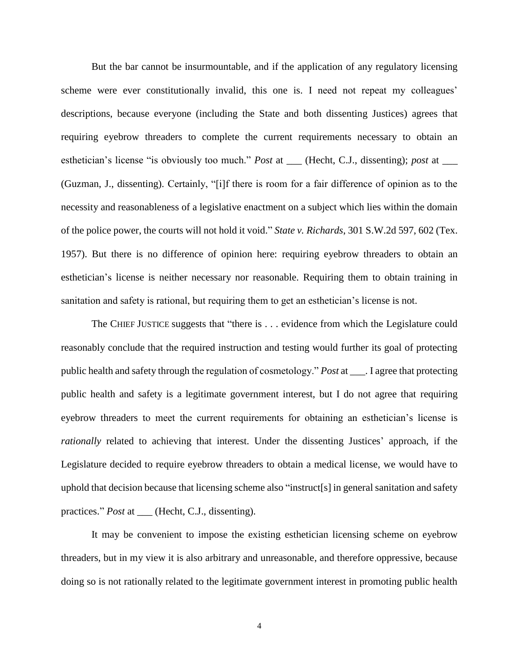But the bar cannot be insurmountable, and if the application of any regulatory licensing scheme were ever constitutionally invalid, this one is. I need not repeat my colleagues' descriptions, because everyone (including the State and both dissenting Justices) agrees that requiring eyebrow threaders to complete the current requirements necessary to obtain an esthetician's license "is obviously too much." *Post* at \_\_\_ (Hecht, C.J., dissenting); *post* at \_\_\_ (Guzman, J., dissenting). Certainly, "[i]f there is room for a fair difference of opinion as to the necessity and reasonableness of a legislative enactment on a subject which lies within the domain of the police power, the courts will not hold it void." *State v. Richards*, 301 S.W.2d 597, 602 (Tex. 1957). But there is no difference of opinion here: requiring eyebrow threaders to obtain an esthetician's license is neither necessary nor reasonable. Requiring them to obtain training in sanitation and safety is rational, but requiring them to get an esthetician's license is not.

The CHIEF JUSTICE suggests that "there is . . . evidence from which the Legislature could reasonably conclude that the required instruction and testing would further its goal of protecting public health and safety through the regulation of cosmetology." *Post* at \_\_\_. I agree that protecting public health and safety is a legitimate government interest, but I do not agree that requiring eyebrow threaders to meet the current requirements for obtaining an esthetician's license is *rationally* related to achieving that interest. Under the dissenting Justices' approach, if the Legislature decided to require eyebrow threaders to obtain a medical license, we would have to uphold that decision because that licensing scheme also "instruct[s] in general sanitation and safety practices." *Post* at \_\_\_ (Hecht, C.J., dissenting).

It may be convenient to impose the existing esthetician licensing scheme on eyebrow threaders, but in my view it is also arbitrary and unreasonable, and therefore oppressive, because doing so is not rationally related to the legitimate government interest in promoting public health